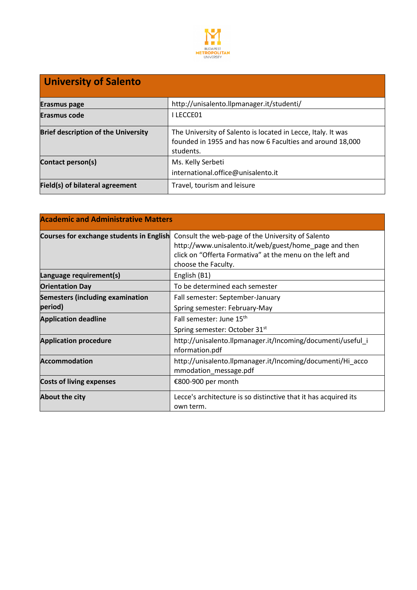

# **University of Salento**

| <b>Erasmus page</b>                        | http://unisalento.llpmanager.it/studenti/                                                                                              |
|--------------------------------------------|----------------------------------------------------------------------------------------------------------------------------------------|
| <b>Erasmus code</b>                        | I LECCE01                                                                                                                              |
| <b>Brief description of the University</b> | The University of Salento is located in Lecce, Italy. It was<br>founded in 1955 and has now 6 Faculties and around 18,000<br>students. |
| Contact person(s)                          | Ms. Kelly Serbeti<br>international.office@unisalento.it                                                                                |
| Field(s) of bilateral agreement            | Travel, tourism and leisure                                                                                                            |

| <b>Academic and Administrative Matters</b>      |                                                                                                                                                                                               |
|-------------------------------------------------|-----------------------------------------------------------------------------------------------------------------------------------------------------------------------------------------------|
| <b>Courses for exchange students in English</b> | Consult the web-page of the University of Salento<br>http://www.unisalento.it/web/guest/home_page and then<br>click on "Offerta Formativa" at the menu on the left and<br>choose the Faculty. |
| Language requirement(s)                         | English (B1)                                                                                                                                                                                  |
| <b>Orientation Day</b>                          | To be determined each semester                                                                                                                                                                |
| <b>Semesters (including examination</b>         | Fall semester: September-January                                                                                                                                                              |
| period)                                         | Spring semester: February-May                                                                                                                                                                 |
| <b>Application deadline</b>                     | Fall semester: June 15 <sup>th</sup>                                                                                                                                                          |
|                                                 | Spring semester: October 31st                                                                                                                                                                 |
| <b>Application procedure</b>                    | http://unisalento.llpmanager.it/Incoming/documenti/useful_i<br>nformation.pdf                                                                                                                 |
| <b>Accommodation</b>                            | http://unisalento.llpmanager.it/Incoming/documenti/Hi_acco<br>mmodation_message.pdf                                                                                                           |
| <b>Costs of living expenses</b>                 | €800-900 per month                                                                                                                                                                            |
| About the city                                  | Lecce's architecture is so distinctive that it has acquired its<br>own term.                                                                                                                  |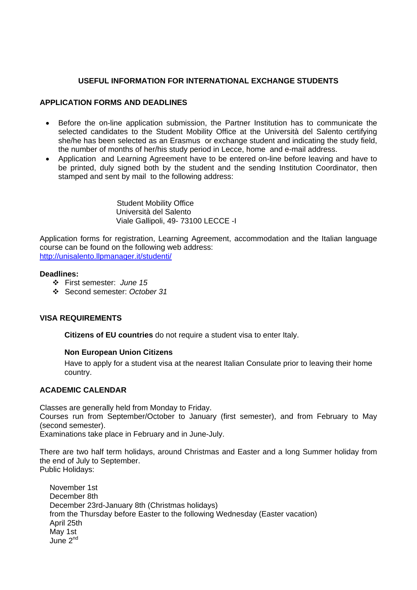# **USEFUL INFORMATION FOR INTERNATIONAL EXCHANGE STUDENTS**

#### **APPLICATION FORMS AND DEADLINES**

- Before the on-line application submission, the Partner Institution has to communicate the selected candidates to the Student Mobility Office at the Università del Salento certifying she/he has been selected as an Erasmus or exchange student and indicating the study field, the number of months of her/his study period in Lecce, home and e-mail address.
- Application and Learning Agreement have to be entered on-line before leaving and have to be printed, duly signed both by the student and the sending Institution Coordinator, then stamped and sent by mail to the following address:

 Student Mobility Office Università del Salento Viale Gallipoli, 49- 73100 LECCE -I

Application forms for registration, Learning Agreement, accommodation and the Italian language course can be found on the following web address: http://unisalento.llpmanager.it/studenti/

#### **Deadlines:**

- First semester: *June 15*
- Second semester: *October 31*

## **VISA REQUIREMENTS**

**Citizens of EU countries** do not require a student visa to enter Italy.

## **Non European Union Citizens**

Have to apply for a student visa at the nearest Italian Consulate prior to leaving their home country.

#### **ACADEMIC CALENDAR**

Classes are generally held from Monday to Friday.

Courses run from September/October to January (first semester), and from February to May (second semester).

Examinations take place in February and in June-July.

There are two half term holidays, around Christmas and Easter and a long Summer holiday from the end of July to September. Public Holidays:

November 1st December 8th December 23rd-January 8th (Christmas holidays) from the Thursday before Easter to the following Wednesday (Easter vacation) April 25th May 1st June 2nd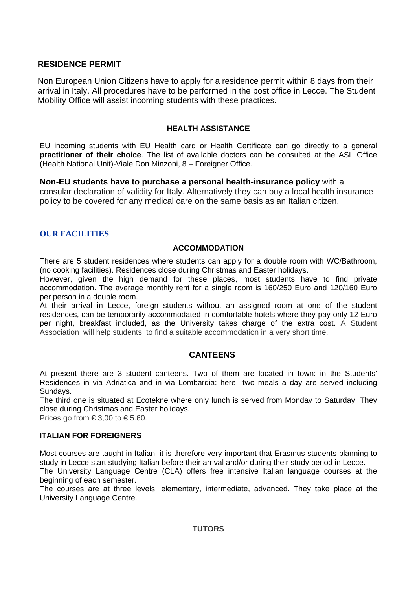# **RESIDENCE PERMIT**

Non European Union Citizens have to apply for a residence permit within 8 days from their arrival in Italy. All procedures have to be performed in the post office in Lecce. The Student Mobility Office will assist incoming students with these practices.

## **HEALTH ASSISTANCE**

EU incoming students with EU Health card or Health Certificate can go directly to a general **practitioner of their choice**. The list of available doctors can be consulted at the ASL Office (Health National Unit)-Viale Don Minzoni, 8 – Foreigner Office.

**Non-EU students have to purchase a personal health-insurance policy** with a consular declaration of validity for Italy. Alternatively they can buy a local health insurance policy to be covered for any medical care on the same basis as an Italian citizen.

# **OUR FACILITIES**

## **ACCOMMODATION**

There are 5 student residences where students can apply for a double room with WC/Bathroom, (no cooking facilities). Residences close during Christmas and Easter holidays.

However, given the high demand for these places, most students have to find private accommodation. The average monthly rent for a single room is 160/250 Euro and 120/160 Euro per person in a double room.

At their arrival in Lecce, foreign students without an assigned room at one of the student residences, can be temporarily accommodated in comfortable hotels where they pay only 12 Euro per night, breakfast included, as the University takes charge of the extra cost. A Student Association will help students to find a suitable accommodation in a very short time.

# **CANTEENS**

At present there are 3 student canteens. Two of them are located in town: in the Students' Residences in via Adriatica and in via Lombardia: here two meals a day are served including Sundays.

The third one is situated at Ecotekne where only lunch is served from Monday to Saturday. They close during Christmas and Easter holidays.

Prices go from  $\in$  3,00 to  $\in$  5.60.

## **ITALIAN FOR FOREIGNERS**

Most courses are taught in Italian, it is therefore very important that Erasmus students planning to study in Lecce start studying Italian before their arrival and/or during their study period in Lecce.

The University Language Centre (CLA) offers free intensive Italian language courses at the beginning of each semester.

The courses are at three levels: elementary, intermediate, advanced. They take place at the University Language Centre.

## **TUTORS**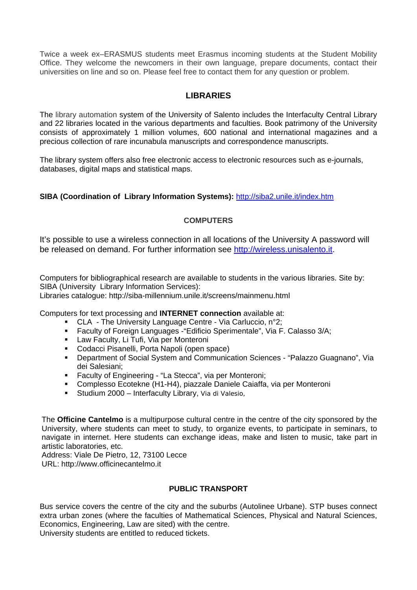Twice a week ex–ERASMUS students meet Erasmus incoming students at the Student Mobility Office. They welcome the newcomers in their own language, prepare documents, contact their universities on line and so on. Please feel free to contact them for any question or problem.

# **LIBRARIES**

The library automation system of the University of Salento includes the Interfaculty Central Library and 22 libraries located in the various departments and faculties. Book patrimony of the University consists of approximately 1 million volumes, 600 national and international magazines and a precious collection of rare incunabula manuscripts and correspondence manuscripts.

The library system offers also free electronic access to electronic resources such as e-journals, databases, digital maps and statistical maps.

# **SIBA (Coordination of Library Information Systems):** http://siba2.unile.it/index.htm

# **COMPUTERS**

It's possible to use a wireless connection in all locations of the University A password will be released on demand. For further information see http://wireless.unisalento.it.

Computers for bibliographical research are available to students in the various libraries. Site by: SIBA (University Library Information Services):

Libraries catalogue: http://siba-millennium.unile.it/screens/mainmenu.html

Computers for text processing and **INTERNET connection** available at:

- CLA The University Language Centre Via Carluccio, n°2;
- Faculty of Foreign Languages -"Edificio Sperimentale", Via F. Calasso 3/A;
- **Law Faculty, Li Tufi, Via per Monteroni**
- **Codacci Pisanelli, Porta Napoli (open space)**<br>**Proportment of Social System and Communic**
- Department of Social System and Communication Sciences "Palazzo Guagnano", Via dei Salesiani;
- Faculty of Engineering "La Stecca", via per Monteroni;
- Complesso Ecotekne (H1-H4), piazzale Daniele Caiaffa, via per Monteroni
- Studium 2000 Interfaculty Library, Via di Valesio,

The **Officine Cantelmo** is a multipurpose cultural centre in the centre of the city sponsored by the University, where students can meet to study, to organize events, to participate in seminars, to navigate in internet. Here students can exchange ideas, make and listen to music, take part in artistic laboratories, etc.

Address: Viale De Pietro, 12, 73100 Lecce URL: http://www.officinecantelmo.it

## **PUBLIC TRANSPORT**

Bus service covers the centre of the city and the suburbs (Autolinee Urbane). STP buses connect extra urban zones (where the faculties of Mathematical Sciences, Physical and Natural Sciences, Economics, Engineering, Law are sited) with the centre.

University students are entitled to reduced tickets.